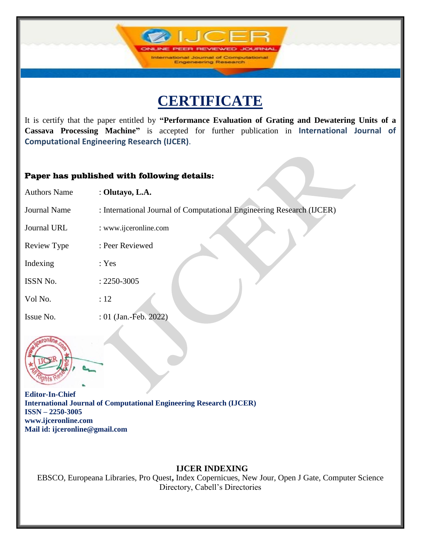**IJCF** 

International Journal of Computations<br>Engeneering Research

It is certify that the paper entitled by **"Performance Evaluation of Grating and Dewatering Units of a Cassava Processing Machine"** is accepted for further publication in **International Journal of Computational Engineering Research (IJCER)**.

### Paper has published with following details:

| <b>Authors Name</b> | : Olutayo, L.A.                                                       |
|---------------------|-----------------------------------------------------------------------|
| <b>Journal Name</b> | : International Journal of Computational Engineering Research (IJCER) |
| Journal URL         | : www.ijceronline.com                                                 |
| Review Type         | : Peer Reviewed                                                       |
| Indexing            | : Yes                                                                 |
| ISSN No.            | $: 2250 - 3005$                                                       |
| Vol No.             | :12                                                                   |
| Issue No.           | : 01 (Jan.-Feb. 2022)                                                 |



**Editor-In-Chief International Journal of Computational Engineering Research (IJCER) ISSN – 2250-3005 www.ijceronline.com Mail id: ijceronline@gmail.com**

## **IJCER INDEXING**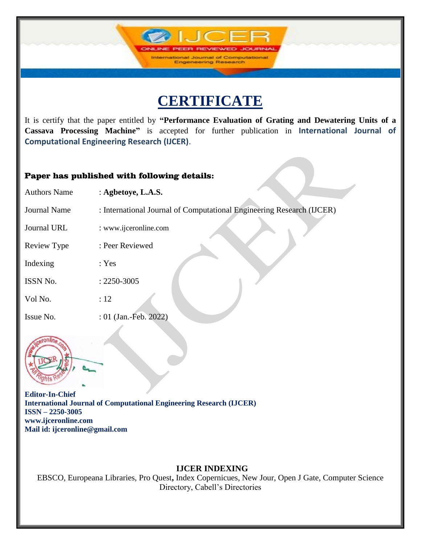**IJCF** 

International Journal of Computations **Engeneering Research** 

It is certify that the paper entitled by **"Performance Evaluation of Grating and Dewatering Units of a Cassava Processing Machine"** is accepted for further publication in **International Journal of Computational Engineering Research (IJCER)**.

### Paper has published with following details:

| <b>Authors Name</b> | : Agbetoye, L.A.S.                                                    |
|---------------------|-----------------------------------------------------------------------|
| <b>Journal Name</b> | : International Journal of Computational Engineering Research (IJCER) |
| Journal URL         | : www.ijceronline.com                                                 |
| <b>Review Type</b>  | : Peer Reviewed                                                       |
| Indexing            | : Yes                                                                 |
| ISSN No.            | $: 2250 - 3005$                                                       |
| Vol No.             | :12                                                                   |
| Issue No.           | : 01 (Jan.-Feb. 2022)                                                 |



**Editor-In-Chief International Journal of Computational Engineering Research (IJCER) ISSN – 2250-3005 www.ijceronline.com Mail id: ijceronline@gmail.com**

## **IJCER INDEXING**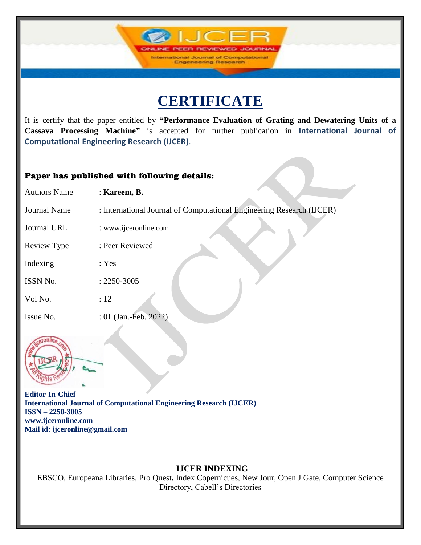**IJCF** 

International Journal of Computations<br>Engeneering Research

It is certify that the paper entitled by **"Performance Evaluation of Grating and Dewatering Units of a Cassava Processing Machine"** is accepted for further publication in **International Journal of Computational Engineering Research (IJCER)**.

### Paper has published with following details:

| <b>Authors Name</b> | : Kareem, B.                                                          |
|---------------------|-----------------------------------------------------------------------|
| <b>Journal Name</b> | : International Journal of Computational Engineering Research (IJCER) |
| Journal URL         | : www.ijceronline.com                                                 |
| Review Type         | : Peer Reviewed                                                       |
| Indexing            | : Yes                                                                 |
| ISSN No.            | $: 2250 - 3005$                                                       |
| Vol No.             | :12                                                                   |
| Issue No.           | : 01 (Jan.-Feb. 2022)                                                 |



**Editor-In-Chief International Journal of Computational Engineering Research (IJCER) ISSN – 2250-3005 www.ijceronline.com Mail id: ijceronline@gmail.com**

## **IJCER INDEXING**